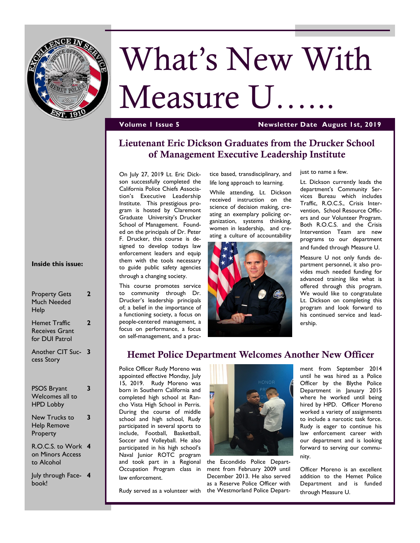

# What's New With

Measure U...

#### **Volume 1 Issue 5 Newsletter Date August 1st, 2019**

# **Lieutenant Eric Dickson Graduates from the Drucker School of Management Executive Leadership Institute**

On July 27, 2019 Lt. Eric Dickson successfully completed the California Police Chiefs Association's Executive Leadership Institute. This prestigious program is hosted by Claremont Graduate University's Drucker School of Management. Founded on the principals of Dr. Peter F. Drucker, this course is designed to develop todays law enforcement leaders and equip them with the tools necessary to guide public safety agencies through a changing society.

This course promotes service to community through Dr. Drucker's leadership principals of; a belief in the importance of a functioning society, a focus on people-centered management, a focus on performance, a focus on self-management, and a prac-

tice based, transdisciplinary, and life long approach to learning.

While attending, Lt. Dickson received instruction on the science of decision making, creating an exemplary policing organization, systems thinking, women in leadership, and creating a culture of accountability



just to name a few.

Lt. Dickson currently leads the department's Community Services Bureau which includes Traffic, R.O.C.S., Crisis Intervention, School Resource Officers and our Volunteer Program. Both R.O.C.S. and the Crisis Intervention Team are new programs to our department and funded through Measure U.

Measure U not only funds department personnel, it also provides much needed funding for advanced training like what is offered through this program. We would like to congratulate Lt. Dickson on completing this program and look forward to his continued service and leadership.

#### **Hemet Police Department Welcomes Another New Officer**

Police Officer Rudy Moreno was appointed effective Monday, July 15, 2019. Rudy Moreno was born in Southern California and completed high school at Rancho Vista High School in Perris. During the course of middle school and high school, Rudy participated in several sports to include, Football, Basketball, Soccer and Volleyball. He also participated in his high school's Naval Junior ROTC program and took part in a Regional Occupation Program class in law enforcement.



Rudy served as a volunteer with the Westmorland Police Departthe Escondido Police Department from February 2009 until December 2013. He also served as a Reserve Police Officer with

ment from September 2014 until he was hired as a Police Officer by the Blythe Police Department in January 2015 where he worked until being hired by HPD. Officer Moreno worked a variety of assignments to include a narcotic task force. Rudy is eager to continue his law enforcement career with our department and is looking forward to serving our community.

Officer Moreno is an excellent addition to the Hemet Police Department and is funded through Measure U.

#### **Inside this issue:**

| <b>Property Gets</b><br>Much Needed<br>Help               | 2                       |
|-----------------------------------------------------------|-------------------------|
| Hemet Traffic<br><b>Receives Grant</b><br>for DUI Patrol  | 2                       |
| Another CIT Suc-<br>cess Story                            | $\overline{\mathbf{3}}$ |
| <b>PSOS Bryant</b><br>Welcomes all to<br><b>HPD Lobby</b> | 3                       |
| New Trucks to<br><b>Help Remove</b><br>Property           | 3                       |

R.O.C.S. to Work **4** on Minors Access to Alcohol

July through Face-**4** book!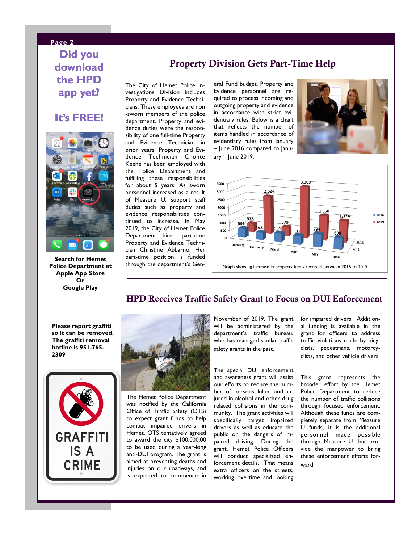# **Page 2 Did you download the HPD app yet?**

## **It's FREE!**



**Search for Hemet Police Department at Apple App Store Or Google Play**

#### **Property Division Gets Part-Time Help**

The City of Hemet Police Investigations Division includes Property and Evidence Technicians. These employees are non -sworn members of the police department. Property and evidence duties were the responsibility of one full-time Property and Evidence Technician in prior years. Property and Evidence Technician Chonte Keene has been employed with the Police Department and fulfilling these responsibilities for about 5 years. As sworn personnel increased as a result of Measure U, support staff duties such as property and evidence responsibilities continued to increase. In May 2019, the City of Hemet Police Department hired part-time Property and Evidence Technician Christine Abbarno. Her part-time position is funded through the department's General Fund budget. Property and Evidence personnel are required to process incoming and outgoing property and evidence in accordance with strict evidentiary rules. Below is a chart that reflects the number of items handled in accordance of evidentiary rules from January – June 2016 compared to Janu-

 $ary -$  June 2019.





#### **HPD Receives Traffic Safety Grant to Focus on DUI Enforcement**

**Please report graffiti so it can be removed. The graffiti removal hotline is 951-765- 2309**





The Hemet Police Department was notified by the California Office of Traffic Safety (OTS) to expect grant funds to help combat impaired drivers in Hemet. OTS tentatively agreed to award the city \$100,000.00 to be used during a year-long anti-DUI program. The grant is aimed at preventing deaths and injuries on our roadways, and is expected to commence in November of 2019. The grant will be administered by the department's traffic bureau, who has managed similar traffic safety grants in the past.

The special DUI enforcement and awareness grant will assist our efforts to reduce the number of persons killed and injured in alcohol and other drug related collisions in the community. The grant activities will specifically target impaired drivers as well as educate the public on the dangers of impaired driving. During the grant, Hemet Police Officers will conduct specialized enforcement details. That means extra officers on the streets, working overtime and looking

for impaired drivers. Additional funding is available in the grant for officers to address traffic violations made by bicyclists, pedestrians, motorcyclists, and other vehicle drivers.

This grant represents the broader effort by the Hemet Police Department to reduce the number of traffic collisions through focused enforcement. Although these funds are completely separate from Measure U funds, it is the additional personnel made possible through Measure U that provide the manpower to bring these enforcement efforts forward.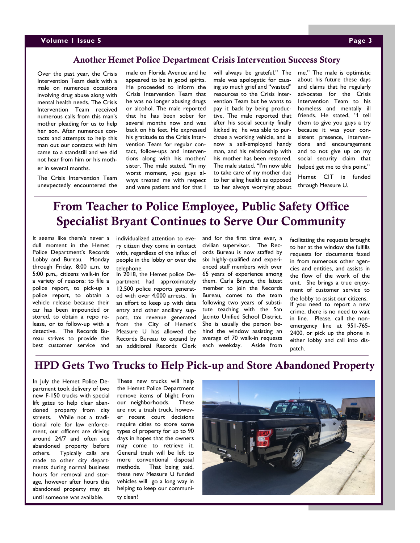#### **Volume 1 Issue 5 Page 3**

#### **Another Hemet Police Department Crisis Intervention Success Story**

Over the past year, the Crisis Intervention Team dealt with a male on numerous occasions involving drug abuse along with mental health needs. The Crisis Intervention Team received numerous calls from this man's mother pleading for us to help her son. After numerous contacts and attempts to help this man out our contacts with him came to a standstill and we did not hear from him or his mother in several months.

The Crisis Intervention Team unexpectedly encountered the male on Florida Avenue and he appeared to be in good spirits. He proceeded to inform the Crisis Intervention Team that he was no longer abusing drugs or alcohol. The male reported that he has been sober for several months now and was back on his feet. He expressed his gratitude to the Crisis Intervention Team for regular contact, follow-ups and interventions along with his mother/ sister. The male stated, "In my worst moment, you guys always treated me with respect and were patient and for that I

will always be grateful." The male was apologetic for causing so much grief and "wasted" resources to the Crisis Intervention Team but he wants to pay it back by being productive. The male reported that after his social security finally kicked in; he was able to purchase a working vehicle, and is now a self-employed handy man, and his relationship with his mother has been restored. The male stated, "I'm now able to take care of my mother due to her ailing health as opposed to her always worrying about

me." The male is optimistic about his future these days and claims that he regularly advocates for the Crisis Intervention Team to his homeless and mentally ill friends. He stated, "I tell them to give you guys a try because it was your consistent presence, interventions and encouragement and to not give up on my social security claim that helped get me to this point." Hemet CIT is funded

through Measure U.

# **From Teacher to Police Employee, Public Safety Office Specialist Bryant Continues to Serve Our Community**

It seems like there's never a dull moment in the Hemet Police Department's Records Lobby and Bureau. Monday through Friday, 8:00 a.m. to 5:00 p.m., citizens walk-in for a variety of reasons: to file a police report, to pick-up a police report, to obtain a vehicle release because their car has been impounded or stored, to obtain a repo release, or to follow-up with a detective. The Records Bureau strives to provide the best customer service and

individualized attention to every citizen they come in contact with, regardless of the influx of people in the lobby or over the telephone.

In 2018, the Hemet police Department had approximately 12,500 police reports generated with over 4,000 arrests. In an effort to keep up with data entry and other ancillary support, tax revenue generated from the City of Hemet's Measure U has allowed the Records Bureau to expand by an additional Records Clerk and for the first time ever, a civilian supervisor. The Records Bureau is now staffed by six highly-qualified and experienced staff members with over 65 years of experience among them. Carla Bryant, the latest member to join the Records Bureau, comes to the team following two years of substitute teaching with the San Jacinto Unified School District. She is usually the person behind the window assisting an average of 70 walk-in requests each weekday. Aside from

facilitating the requests brought to her at the window she fulfills requests for documents faxed in from numerous other agencies and entities, and assists in the flow of the work of the unit. She brings a true enjoyment of customer service to the lobby to assist our citizens. If you need to report a new crime, there is no need to wait in line. Please, call the nonemergency line at 951-765- 2400, or pick up the phone in either lobby and call into dispatch.

## **HPD Gets Two Trucks to Help Pick-up and Store Abandoned Property**

In July the Hemet Police Department took delivery of two new F-150 trucks with special lift gates to help clear abandoned property from city streets. While not a traditional role for law enforcement, our officers are driving around 24/7 and often see abandoned property before others. Typically calls are made to other city departments during normal business hours for removal and storage, however after hours this abandoned property may sit until someone was available.

These new trucks will help the Hemet Police Department remove items of blight from our neighborhoods. These are not a trash truck, however recent court decisions require cities to store some types of property for up to 90 days in hopes that the owners may come to retrieve it. General trash will be left to more conventional disposal methods. That being said, these new Measure U funded vehicles will go a long way in helping to keep our community clean!